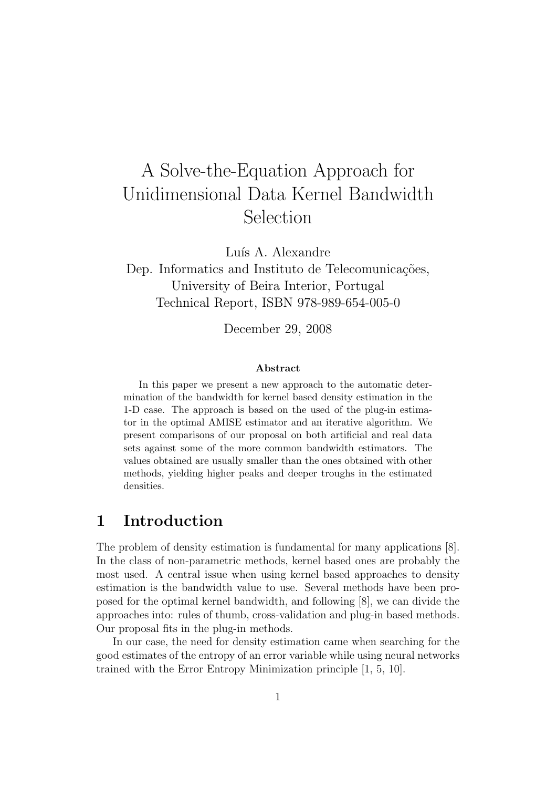# A Solve-the-Equation Approach for Unidimensional Data Kernel Bandwidth Selection

Luís A. Alexandre

Dep. Informatics and Instituto de Telecomunicações, University of Beira Interior, Portugal Technical Report, ISBN 978-989-654-005-0

December 29, 2008

#### Abstract

In this paper we present a new approach to the automatic determination of the bandwidth for kernel based density estimation in the 1-D case. The approach is based on the used of the plug-in estimator in the optimal AMISE estimator and an iterative algorithm. We present comparisons of our proposal on both artificial and real data sets against some of the more common bandwidth estimators. The values obtained are usually smaller than the ones obtained with other methods, yielding higher peaks and deeper troughs in the estimated densities.

## 1 Introduction

The problem of density estimation is fundamental for many applications [8]. In the class of non-parametric methods, kernel based ones are probably the most used. A central issue when using kernel based approaches to density estimation is the bandwidth value to use. Several methods have been proposed for the optimal kernel bandwidth, and following [8], we can divide the approaches into: rules of thumb, cross-validation and plug-in based methods. Our proposal fits in the plug-in methods.

In our case, the need for density estimation came when searching for the good estimates of the entropy of an error variable while using neural networks trained with the Error Entropy Minimization principle [1, 5, 10].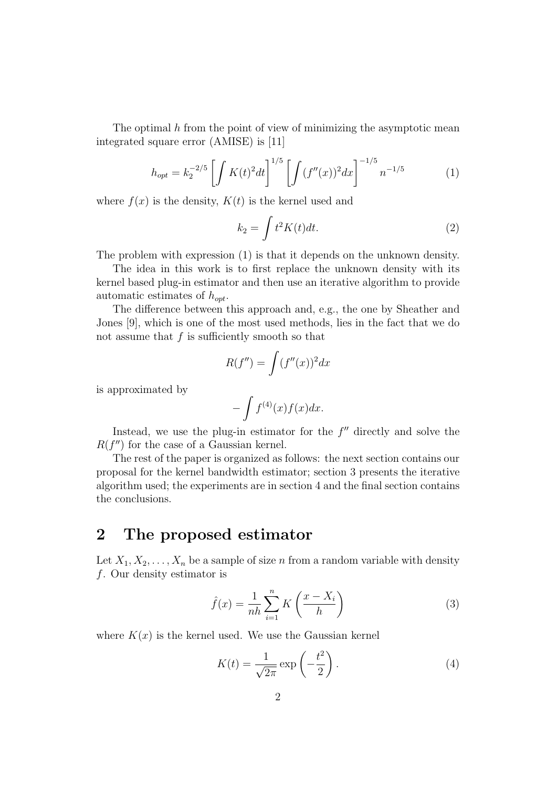The optimal  $h$  from the point of view of minimizing the asymptotic mean integrated square error (AMISE) is [11]

$$
h_{opt} = k_2^{-2/5} \left[ \int K(t)^2 dt \right]^{1/5} \left[ \int (f''(x))^2 dx \right]^{-1/5} n^{-1/5} \tag{1}
$$

where  $f(x)$  is the density,  $K(t)$  is the kernel used and

$$
k_2 = \int t^2 K(t) dt.
$$
 (2)

The problem with expression (1) is that it depends on the unknown density.

The idea in this work is to first replace the unknown density with its kernel based plug-in estimator and then use an iterative algorithm to provide automatic estimates of  $h_{opt}$ .

The difference between this approach and, e.g., the one by Sheather and Jones [9], which is one of the most used methods, lies in the fact that we do not assume that  $f$  is sufficiently smooth so that

$$
R(f'') = \int (f''(x))^2 dx
$$

is approximated by

$$
-\int f^{(4)}(x)f(x)dx.
$$

Instead, we use the plug-in estimator for the  $f''$  directly and solve the  $R(f'')$  for the case of a Gaussian kernel.

The rest of the paper is organized as follows: the next section contains our proposal for the kernel bandwidth estimator; section 3 presents the iterative algorithm used; the experiments are in section 4 and the final section contains the conclusions.

## 2 The proposed estimator

Let  $X_1, X_2, \ldots, X_n$  be a sample of size n from a random variable with density f. Our density estimator is

$$
\hat{f}(x) = \frac{1}{nh} \sum_{i=1}^{n} K\left(\frac{x - X_i}{h}\right)
$$
\n(3)

where  $K(x)$  is the kernel used. We use the Gaussian kernel

$$
K(t) = \frac{1}{\sqrt{2\pi}} \exp\left(-\frac{t^2}{2}\right).
$$
 (4)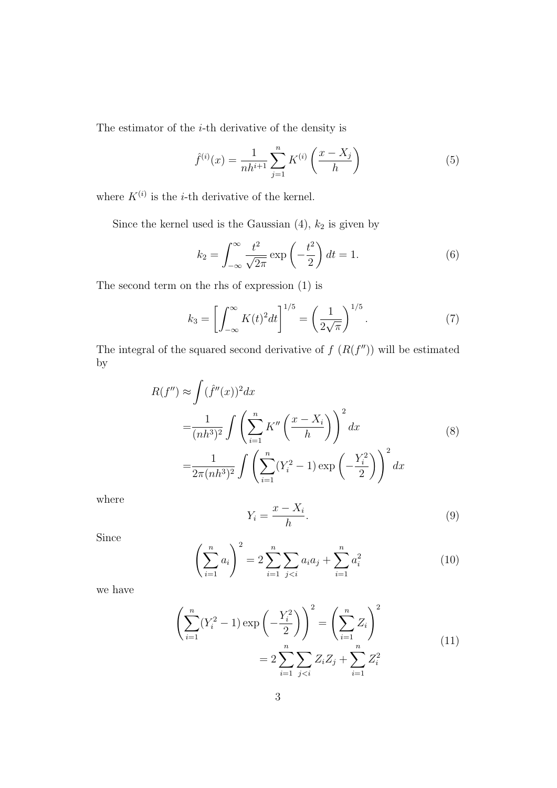The estimator of the  $i$ -th derivative of the density is

$$
\hat{f}^{(i)}(x) = \frac{1}{nh^{i+1}} \sum_{j=1}^{n} K^{(i)}\left(\frac{x - X_j}{h}\right)
$$
(5)

where  $K^{(i)}$  is the *i*-th derivative of the kernel.

Since the kernel used is the Gaussian  $(4)$ ,  $k_2$  is given by

$$
k_2 = \int_{-\infty}^{\infty} \frac{t^2}{\sqrt{2\pi}} \exp\left(-\frac{t^2}{2}\right) dt = 1.
$$
 (6)

The second term on the rhs of expression (1) is

$$
k_3 = \left[ \int_{-\infty}^{\infty} K(t)^2 dt \right]^{1/5} = \left( \frac{1}{2\sqrt{\pi}} \right)^{1/5}.
$$
 (7)

The integral of the squared second derivative of  $f(R(f''))$  will be estimated by

$$
R(f'') \approx \int (\hat{f}''(x))^2 dx
$$
  
=  $\frac{1}{(nh^3)^2} \int \left( \sum_{i=1}^n K''\left(\frac{x - X_i}{h}\right) \right)^2 dx$  (8)  
=  $\frac{1}{2\pi (nh^3)^2} \int \left( \sum_{i=1}^n (Y_i^2 - 1) \exp\left(-\frac{Y_i^2}{2}\right) \right)^2 dx$ 

where

$$
Y_i = \frac{x - X_i}{h}.\tag{9}
$$

Since

$$
\left(\sum_{i=1}^{n} a_i\right)^2 = 2\sum_{i=1}^{n} \sum_{j (10)
$$

we have

$$
\left(\sum_{i=1}^{n} (Y_i^2 - 1) \exp\left(-\frac{Y_i^2}{2}\right)\right)^2 = \left(\sum_{i=1}^{n} Z_i\right)^2
$$

$$
= 2 \sum_{i=1}^{n} \sum_{j < i} Z_i Z_j + \sum_{i=1}^{n} Z_i^2 \tag{11}
$$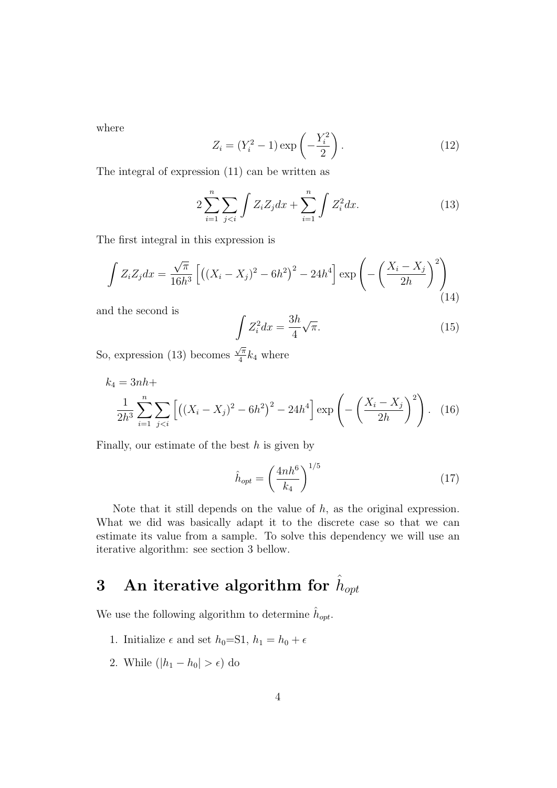where

$$
Z_i = (Y_i^2 - 1) \exp\left(-\frac{Y_i^2}{2}\right).
$$
 (12)

The integral of expression (11) can be written as

$$
2\sum_{i=1}^{n} \sum_{j (13)
$$

The first integral in this expression is

$$
\int Z_i Z_j dx = \frac{\sqrt{\pi}}{16h^3} \left[ \left( (X_i - X_j)^2 - 6h^2 \right)^2 - 24h^4 \right] \exp \left( -\left( \frac{X_i - X_j}{2h} \right)^2 \right) \tag{14}
$$

and the second is

$$
\int Z_i^2 dx = \frac{3h}{4} \sqrt{\pi}.
$$
\n(15)

So, expression (13) becomes  $\sqrt{\pi}$  $\frac{\sqrt{\pi}}{4}k_4$  where

$$
k_4 = 3nh +
$$
  

$$
\frac{1}{2h^3} \sum_{i=1}^n \sum_{j
$$

Finally, our estimate of the best  $h$  is given by

$$
\hat{h}_{opt} = \left(\frac{4nh^6}{k_4}\right)^{1/5} \tag{17}
$$

Note that it still depends on the value of  $h$ , as the original expression. What we did was basically adapt it to the discrete case so that we can estimate its value from a sample. To solve this dependency we will use an iterative algorithm: see section 3 bellow.

# ${\bf 3}\quad {\bf An} \text{ iterative algorithm for } \hat h_{opt}$

We use the following algorithm to determine  $\hat{h}_{opt}$ .

- 1. Initialize  $\epsilon$  and set  $h_0 = S1$ ,  $h_1 = h_0 + \epsilon$
- 2. While  $(|h_1 h_0| > \epsilon)$  do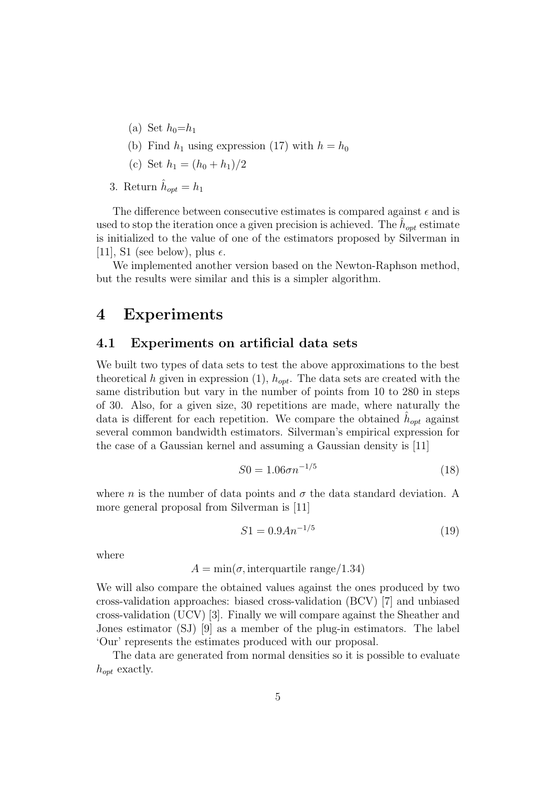- (a) Set  $h_0=h_1$
- (b) Find  $h_1$  using expression (17) with  $h = h_0$
- (c) Set  $h_1 = (h_0 + h_1)/2$

3. Return  $\hat{h}_{opt} = h_1$ 

The difference between consecutive estimates is compared against  $\epsilon$  and is used to stop the iteration once a given precision is achieved. The  $\hat{h}_{opt}$  estimate is initialized to the value of one of the estimators proposed by Silverman in [11], S1 (see below), plus  $\epsilon$ .

We implemented another version based on the Newton-Raphson method, but the results were similar and this is a simpler algorithm.

## 4 Experiments

### 4.1 Experiments on artificial data sets

We built two types of data sets to test the above approximations to the best theoretical h given in expression  $(1)$ ,  $h_{opt}$ . The data sets are created with the same distribution but vary in the number of points from 10 to 280 in steps of 30. Also, for a given size, 30 repetitions are made, where naturally the data is different for each repetition. We compare the obtained  $\hat{h}_{opt}$  against several common bandwidth estimators. Silverman's empirical expression for the case of a Gaussian kernel and assuming a Gaussian density is [11]

$$
S0 = 1.06\sigma n^{-1/5} \tag{18}
$$

where *n* is the number of data points and  $\sigma$  the data standard deviation. A more general proposal from Silverman is [11]

$$
S1 = 0.9An^{-1/5}
$$
 (19)

where

$$
A = \min(\sigma, \text{interquartile range}/1.34)
$$

We will also compare the obtained values against the ones produced by two cross-validation approaches: biased cross-validation (BCV) [7] and unbiased cross-validation (UCV) [3]. Finally we will compare against the Sheather and Jones estimator (SJ) [9] as a member of the plug-in estimators. The label 'Our' represents the estimates produced with our proposal.

The data are generated from normal densities so it is possible to evaluate  $h_{opt}$  exactly.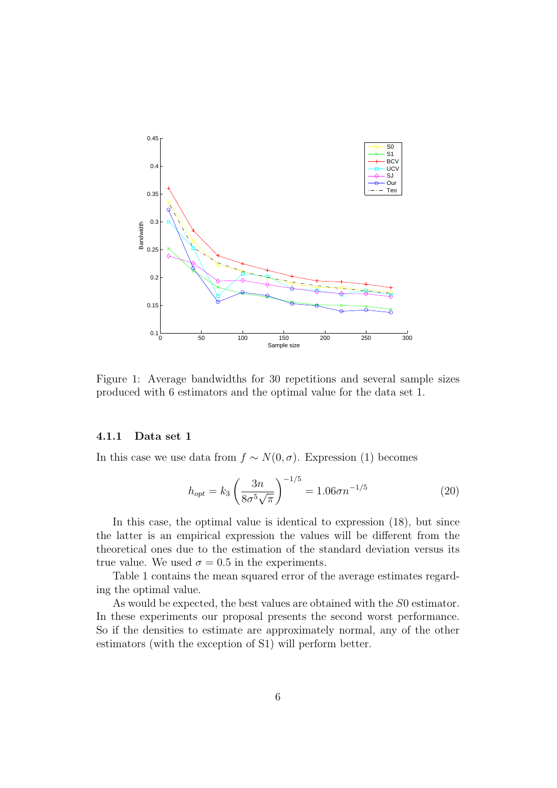

Figure 1: Average bandwidths for 30 repetitions and several sample sizes produced with 6 estimators and the optimal value for the data set 1.

#### 4.1.1 Data set 1

In this case we use data from  $f \sim N(0, \sigma)$ . Expression (1) becomes

$$
h_{opt} = k_3 \left(\frac{3n}{8\sigma^5 \sqrt{\pi}}\right)^{-1/5} = 1.06\sigma n^{-1/5}
$$
 (20)

In this case, the optimal value is identical to expression (18), but since the latter is an empirical expression the values will be different from the theoretical ones due to the estimation of the standard deviation versus its true value. We used  $\sigma = 0.5$  in the experiments.

Table 1 contains the mean squared error of the average estimates regarding the optimal value.

As would be expected, the best values are obtained with the S0 estimator. In these experiments our proposal presents the second worst performance. So if the densities to estimate are approximately normal, any of the other estimators (with the exception of S1) will perform better.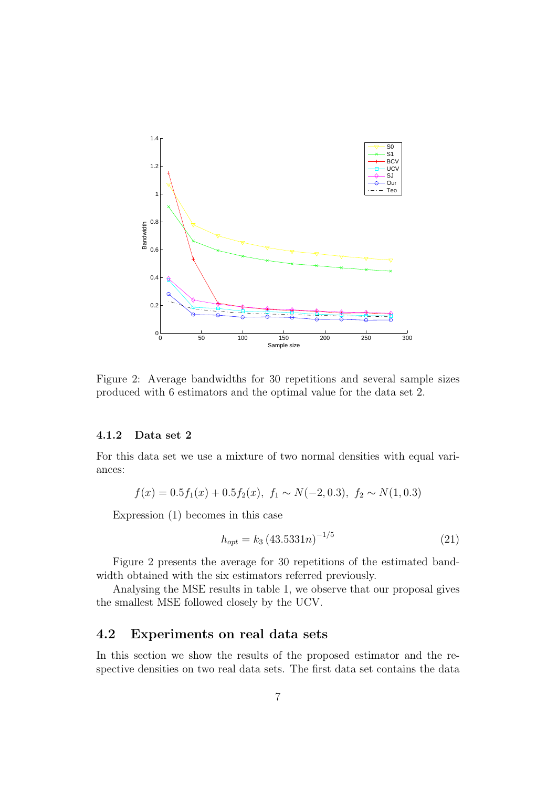

Figure 2: Average bandwidths for 30 repetitions and several sample sizes produced with 6 estimators and the optimal value for the data set 2.

#### 4.1.2 Data set 2

For this data set we use a mixture of two normal densities with equal variances:

$$
f(x) = 0.5f_1(x) + 0.5f_2(x), f_1 \sim N(-2, 0.3), f_2 \sim N(1, 0.3)
$$

Expression (1) becomes in this case

$$
h_{opt} = k_3 (43.5331n)^{-1/5}
$$
 (21)

Figure 2 presents the average for 30 repetitions of the estimated bandwidth obtained with the six estimators referred previously.

Analysing the MSE results in table 1, we observe that our proposal gives the smallest MSE followed closely by the UCV.

### 4.2 Experiments on real data sets

In this section we show the results of the proposed estimator and the respective densities on two real data sets. The first data set contains the data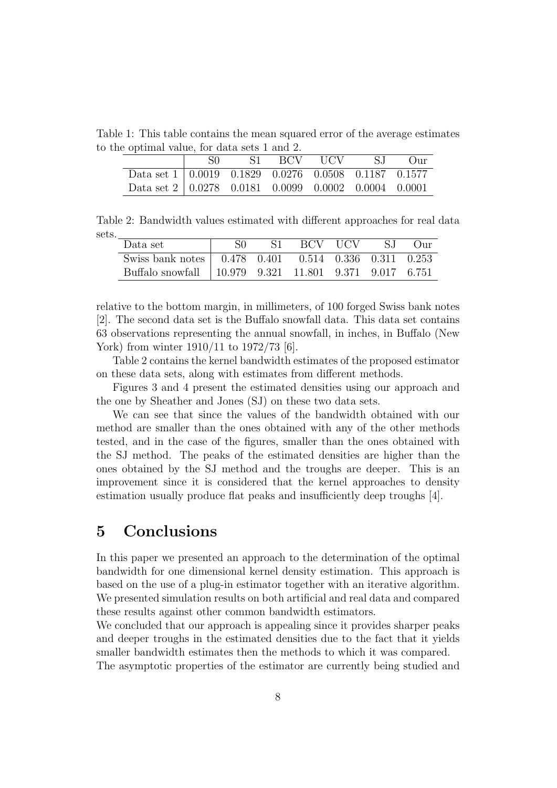Table 1: This table contains the mean squared error of the average estimates to the optimal value, for data sets 1 and 2.

|                                                                                           | - SO | S1 BCV UCV | S.I | $_{\rm Our}$ |
|-------------------------------------------------------------------------------------------|------|------------|-----|--------------|
| Data set $1 \mid 0.0019 \quad 0.1829 \quad 0.0276 \quad 0.0508 \quad 0.1187 \quad 0.1577$ |      |            |     |              |
| Data set $2 \mid 0.0278$ 0.0181 0.0099 0.0002 0.0004 0.0001                               |      |            |     |              |

Table 2: Bandwidth values estimated with different approaches for real data sets.

| Data set                                                 |  | S1 BCV UCV | - S.I | $()_{11}$ |
|----------------------------------------------------------|--|------------|-------|-----------|
| Swiss bank notes   0.478 0.401 0.514 0.336 0.311 0.253   |  |            |       |           |
| Buffalo snowfall   10.979 9.321 11.801 9.371 9.017 6.751 |  |            |       |           |

relative to the bottom margin, in millimeters, of 100 forged Swiss bank notes [2]. The second data set is the Buffalo snowfall data. This data set contains 63 observations representing the annual snowfall, in inches, in Buffalo (New York) from winter 1910/11 to 1972/73 [6].

Table 2 contains the kernel bandwidth estimates of the proposed estimator on these data sets, along with estimates from different methods.

Figures 3 and 4 present the estimated densities using our approach and the one by Sheather and Jones (SJ) on these two data sets.

We can see that since the values of the bandwidth obtained with our method are smaller than the ones obtained with any of the other methods tested, and in the case of the figures, smaller than the ones obtained with the SJ method. The peaks of the estimated densities are higher than the ones obtained by the SJ method and the troughs are deeper. This is an improvement since it is considered that the kernel approaches to density estimation usually produce flat peaks and insufficiently deep troughs [4].

## 5 Conclusions

In this paper we presented an approach to the determination of the optimal bandwidth for one dimensional kernel density estimation. This approach is based on the use of a plug-in estimator together with an iterative algorithm. We presented simulation results on both artificial and real data and compared these results against other common bandwidth estimators.

We concluded that our approach is appealing since it provides sharper peaks and deeper troughs in the estimated densities due to the fact that it yields smaller bandwidth estimates then the methods to which it was compared. The asymptotic properties of the estimator are currently being studied and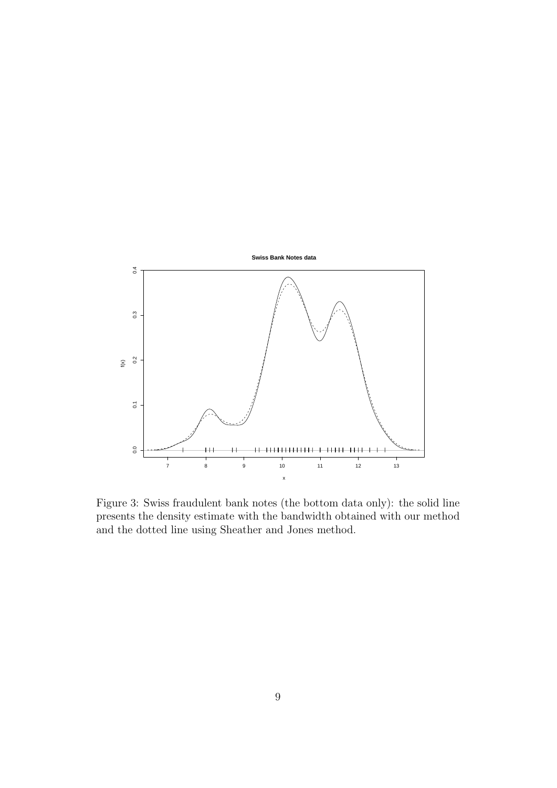

Figure 3: Swiss fraudulent bank notes (the bottom data only): the solid line presents the density estimate with the bandwidth obtained with our method and the dotted line using Sheather and Jones method.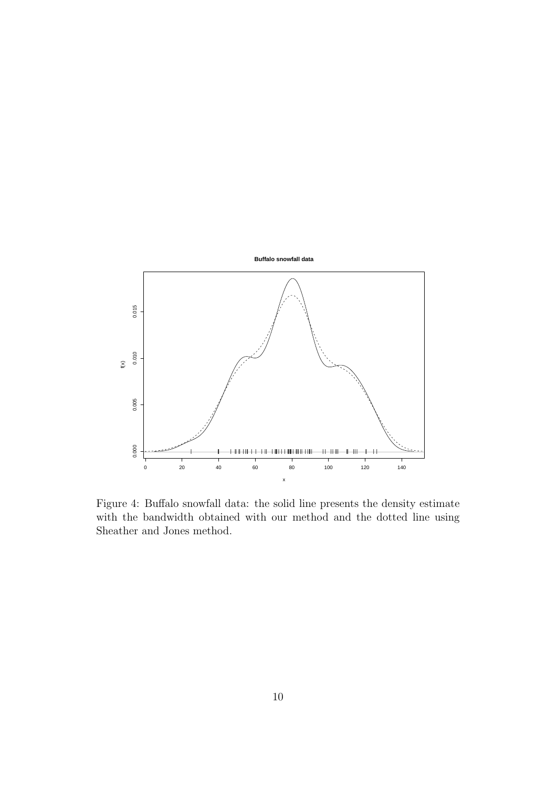

Figure 4: Buffalo snowfall data: the solid line presents the density estimate with the bandwidth obtained with our method and the dotted line using Sheather and Jones method.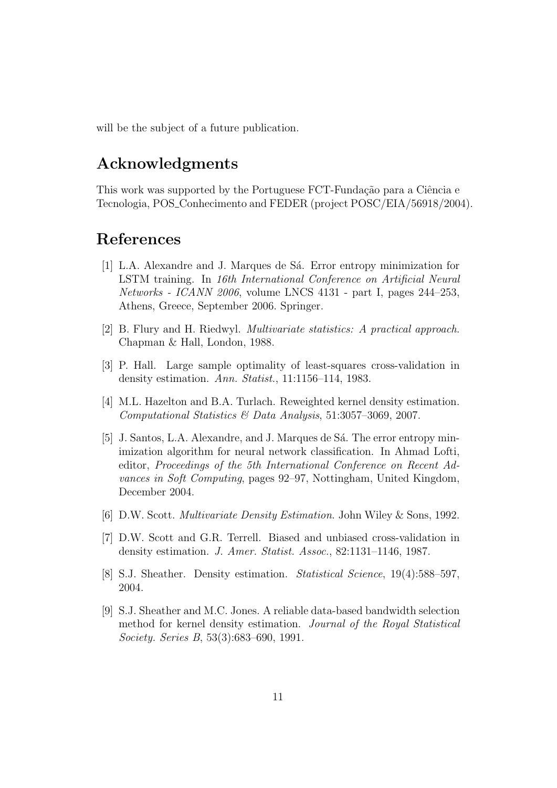will be the subject of a future publication.

## Acknowledgments

This work was supported by the Portuguese FCT-Fundação para a Ciência e Tecnologia, POS Conhecimento and FEDER (project POSC/EIA/56918/2004).

## References

- [1] L.A. Alexandre and J. Marques de Sá. Error entropy minimization for LSTM training. In 16th International Conference on Artificial Neural Networks - ICANN 2006, volume LNCS 4131 - part I, pages 244–253, Athens, Greece, September 2006. Springer.
- [2] B. Flury and H. Riedwyl. Multivariate statistics: A practical approach. Chapman & Hall, London, 1988.
- [3] P. Hall. Large sample optimality of least-squares cross-validation in density estimation. Ann. Statist., 11:1156–114, 1983.
- [4] M.L. Hazelton and B.A. Turlach. Reweighted kernel density estimation. Computational Statistics & Data Analysis, 51:3057–3069, 2007.
- [5] J. Santos, L.A. Alexandre, and J. Marques de Sá. The error entropy minimization algorithm for neural network classification. In Ahmad Lofti, editor, Proceedings of the 5th International Conference on Recent Advances in Soft Computing, pages 92–97, Nottingham, United Kingdom, December 2004.
- [6] D.W. Scott. Multivariate Density Estimation. John Wiley & Sons, 1992.
- [7] D.W. Scott and G.R. Terrell. Biased and unbiased cross-validation in density estimation. J. Amer. Statist. Assoc., 82:1131–1146, 1987.
- [8] S.J. Sheather. Density estimation. Statistical Science, 19(4):588–597, 2004.
- [9] S.J. Sheather and M.C. Jones. A reliable data-based bandwidth selection method for kernel density estimation. Journal of the Royal Statistical Society. Series B, 53(3):683–690, 1991.